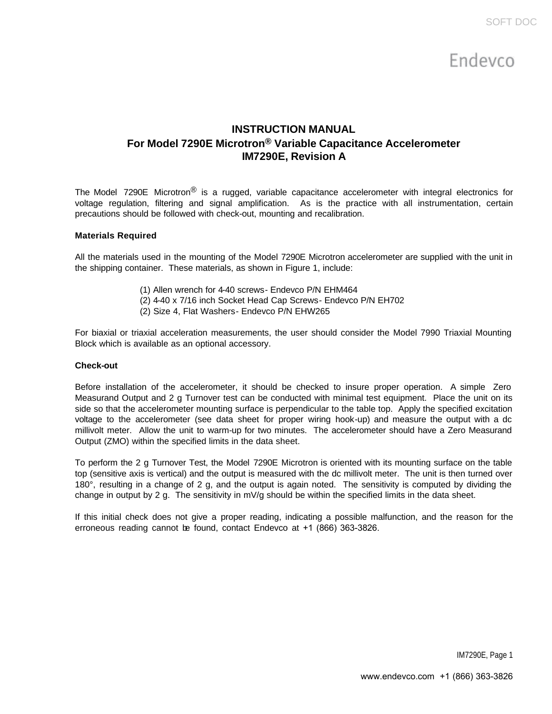# **INSTRUCTION MANUAL For Model 7290E Microtron® Variable Capacitance Accelerometer IM7290E, Revision A**

The Model 7290E Microtron<sup>®</sup> is a rugged, variable capacitance accelerometer with integral electronics for voltage regulation, filtering and signal amplification. As is the practice with all instrumentation, certain precautions should be followed with check-out, mounting and recalibration.

# **Materials Required**

All the materials used in the mounting of the Model 7290E Microtron accelerometer are supplied with the unit in the shipping container. These materials, as shown in Figure 1, include:

- (1) Allen wrench for 4-40 screws- Endevco P/N EHM464
- (2) 4-40 x 7/16 inch Socket Head Cap Screws- Endevco P/N EH702
- (2) Size 4, Flat Washers- Endevco P/N EHW265

For biaxial or triaxial acceleration measurements, the user should consider the Model 7990 Triaxial Mounting Block which is available as an optional accessory.

#### **Check-out**

Before installation of the accelerometer, it should be checked to insure proper operation. A simple Zero Measurand Output and 2 g Turnover test can be conducted with minimal test equipment. Place the unit on its side so that the accelerometer mounting surface is perpendicular to the table top. Apply the specified excitation voltage to the accelerometer (see data sheet for proper wiring hook-up) and measure the output with a dc millivolt meter. Allow the unit to warm-up for two minutes. The accelerometer should have a Zero Measurand Output (ZMO) within the specified limits in the data sheet.

To perform the 2 g Turnover Test, the Model 7290E Microtron is oriented with its mounting surface on the table top (sensitive axis is vertical) and the output is measured with the dc millivolt meter. The unit is then turned over 180°, resulting in a change of 2 g, and the output is again noted. The sensitivity is computed by dividing the change in output by 2 g. The sensitivity in mV/g should be within the specified limits in the data sheet.

If this initial check does not give a proper reading, indicating a possible malfunction, and the reason for the erroneous reading cannot be found, contact Endevco at +1 (866) 363-3826.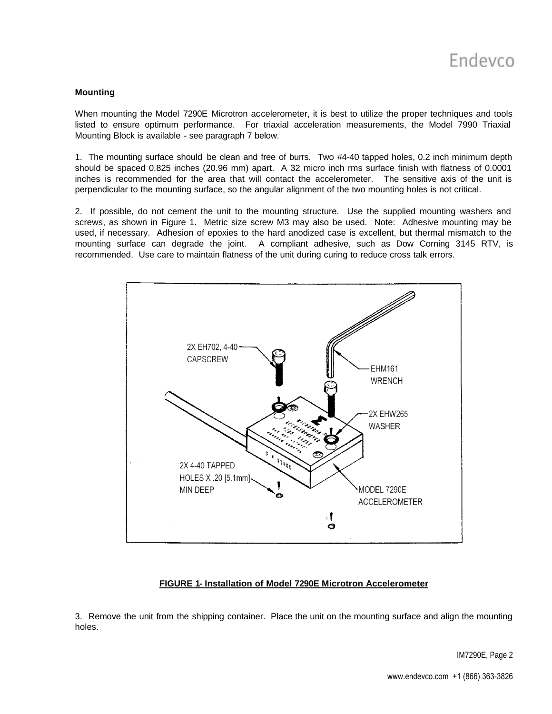# **Mounting**

When mounting the Model 7290E Microtron accelerometer, it is best to utilize the proper techniques and tools listed to ensure optimum performance. For triaxial acceleration measurements, the Model 7990 Triaxial Mounting Block is available - see paragraph 7 below.

1. The mounting surface should be clean and free of burrs. Two #4-40 tapped holes, 0.2 inch minimum depth should be spaced 0.825 inches (20.96 mm) apart. A 32 micro inch rms surface finish with flatness of 0.0001 inches is recommended for the area that will contact the accelerometer. The sensitive axis of the unit is perpendicular to the mounting surface, so the angular alignment of the two mounting holes is not critical.

2. If possible, do not cement the unit to the mounting structure. Use the supplied mounting washers and screws, as shown in Figure 1. Metric size screw M3 may also be used. Note: Adhesive mounting may be used, if necessary. Adhesion of epoxies to the hard anodized case is excellent, but thermal mismatch to the mounting surface can degrade the joint. A compliant adhesive, such as Dow Corning 3145 RTV, is recommended. Use care to maintain flatness of the unit during curing to reduce cross talk errors.



#### **FIGURE 1- Installation of Model 7290E Microtron Accelerometer**

3. Remove the unit from the shipping container. Place the unit on the mounting surface and align the mounting holes.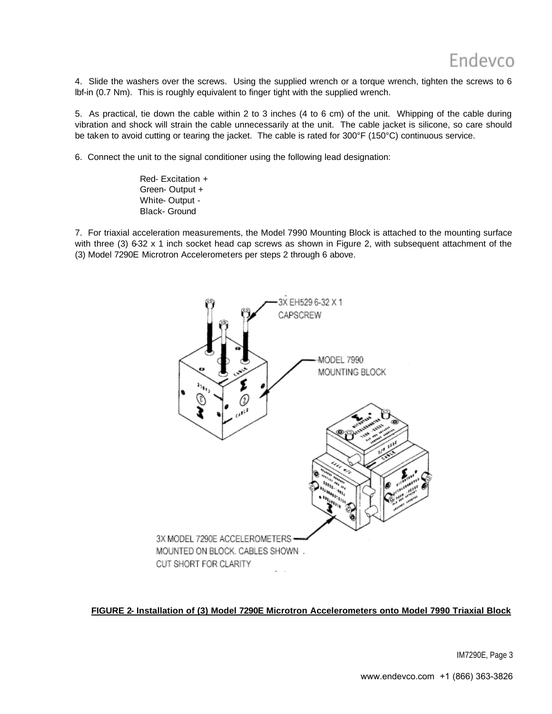4. Slide the washers over the screws. Using the supplied wrench or a torque wrench, tighten the screws to 6 lbf-in (0.7 Nm). This is roughly equivalent to finger tight with the supplied wrench.

5. As practical, tie down the cable within 2 to 3 inches (4 to 6 cm) of the unit. Whipping of the cable during vibration and shock will strain the cable unnecessarily at the unit. The cable jacket is silicone, so care should be taken to avoid cutting or tearing the jacket. The cable is rated for 300°F (150°C) continuous service.

6. Connect the unit to the signal conditioner using the following lead designation:

Red- Excitation + Green- Output + White- Output - Black- Ground

7. For triaxial acceleration measurements, the Model 7990 Mounting Block is attached to the mounting surface with three (3) 6-32 x 1 inch socket head cap screws as shown in Figure 2, with subsequent attachment of the (3) Model 7290E Microtron Accelerometers per steps 2 through 6 above.



**FIGURE 2- Installation of (3) Model 7290E Microtron Accelerometers onto Model 7990 Triaxial Block**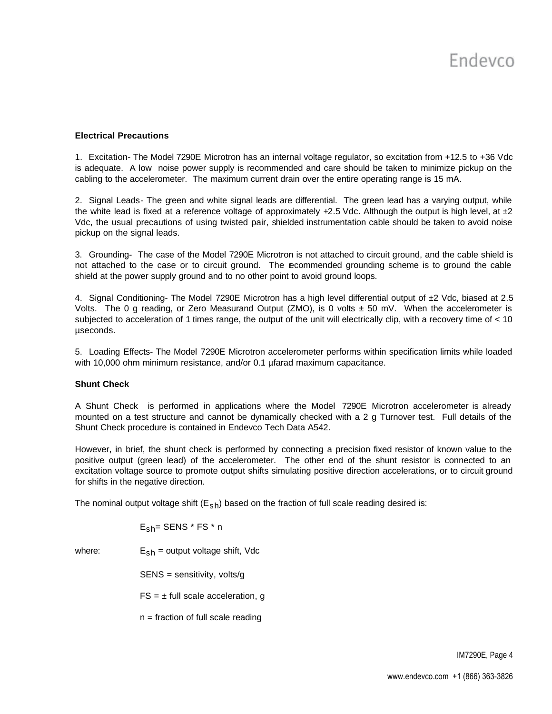# **Electrical Precautions**

1. Excitation- The Model 7290E Microtron has an internal voltage regulator, so excitation from +12.5 to +36 Vdc is adequate. A low noise power supply is recommended and care should be taken to minimize pickup on the cabling to the accelerometer. The maximum current drain over the entire operating range is 15 mA.

2. Signal Leads- The green and white signal leads are differential. The green lead has a varying output, while the white lead is fixed at a reference voltage of approximately  $+2.5$  Vdc. Although the output is high level, at  $\pm 2$ Vdc, the usual precautions of using twisted pair, shielded instrumentation cable should be taken to avoid noise pickup on the signal leads.

3. Grounding- The case of the Model 7290E Microtron is not attached to circuit ground, and the cable shield is not attached to the case or to circuit ground. The recommended grounding scheme is to ground the cable shield at the power supply ground and to no other point to avoid ground loops.

4. Signal Conditioning- The Model 7290E Microtron has a high level differential output of ±2 Vdc, biased at 2.5 Volts. The 0 g reading, or Zero Measurand Output (ZMO), is 0 volts  $\pm$  50 mV. When the accelerometer is subjected to acceleration of 1 times range, the output of the unit will electrically clip, with a recovery time of < 10 µseconds.

5. Loading Effects- The Model 7290E Microtron accelerometer performs within specification limits while loaded with 10,000 ohm minimum resistance, and/or 0.1 µfarad maximum capacitance.

#### **Shunt Check**

A Shunt Check is performed in applications where the Model 7290E Microtron accelerometer is already mounted on a test structure and cannot be dynamically checked with a 2 g Turnover test. Full details of the Shunt Check procedure is contained in Endevco Tech Data A542.

However, in brief, the shunt check is performed by connecting a precision fixed resistor of known value to the positive output (green lead) of the accelerometer. The other end of the shunt resistor is connected to an excitation voltage source to promote output shifts simulating positive direction accelerations, or to circuit ground for shifts in the negative direction.

The nominal output voltage shift  $(E_{sh})$  based on the fraction of full scale reading desired is:

$$
\mathsf{E}_{\mathsf{Sh}}\text{-}\mathsf{SENS} \texttt{~*}\mathsf{FS} \texttt{~*}\ \mathsf{n}
$$

where:  $E_{sh}$  = output voltage shift, Vdc

SENS = sensitivity, volts/g

 $FS = \pm$  full scale acceleration, g

 $n =$  fraction of full scale reading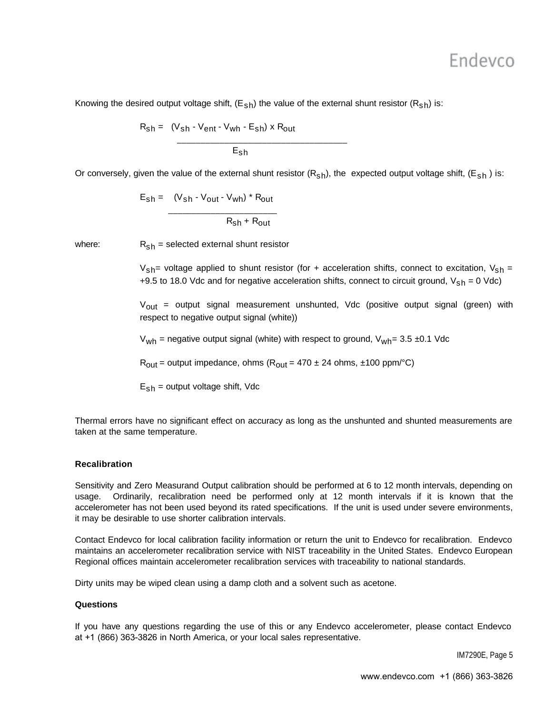Knowing the desired output voltage shift,  $(E_{sh})$  the value of the external shunt resistor  $(R_{sh})$  is:

$$
R_{sh} = (V_{sh} - V_{ent} - V_{wh} - E_{sh}) \times R_{out}
$$
\n
$$
E_{sh}
$$

Or conversely, given the value of the external shunt resistor  $(R_{sh})$ , the expected output voltage shift,  $(E_{sh})$  is:

$$
E_{sh} = (V_{sh} - V_{out} - V_{wh}) * R_{out}
$$
\n

| 1 | 1 | 1 |
|---|---|---|
| 1 | 1 | 1 |
| 1 | 1 | 1 |
| 1 | 1 | 1 |
| 1 | 1 | 1 |
| 1 | 1 | 1 |
| 1 | 1 | 1 |
| 1 | 1 | 1 |
| 1 | 1 | 1 |
| 1 | 1 | 1 |
| 1 | 1 | 1 |
| 1 | 1 | 1 |
| 1 | 1 | 1 |
| 1 | 1 | 1 |
| 1 | 1 | 1 |
| 1 | 1 | 1 |
| 1 | 1 | 1 |
| 1 | 1 | 1 |
| 1 | 1 | 1 |

where:  $R_{\rm sh}$  = selected external shunt resistor

 $V_{\rm sh}$ = voltage applied to shunt resistor (for + acceleration shifts, connect to excitation,  $V_{\rm sh}$  = +9.5 to 18.0 Vdc and for negative acceleration shifts, connect to circuit ground,  $V_{\rm sh} = 0$  Vdc)

V<sub>out</sub> = output signal measurement unshunted, Vdc (positive output signal (green) with respect to negative output signal (white))

 $V_{wh}$  = negative output signal (white) with respect to ground,  $V_{wh}$  = 3.5 ±0.1 Vdc

 $R_{\text{out}}$  = output impedance, ohms ( $R_{\text{out}}$  = 470 ± 24 ohms, ±100 ppm/°C)

 $E_{\rm sh}$  = output voltage shift, Vdc

Thermal errors have no significant effect on accuracy as long as the unshunted and shunted measurements are taken at the same temperature.

# **Recalibration**

Sensitivity and Zero Measurand Output calibration should be performed at 6 to 12 month intervals, depending on usage. Ordinarily, recalibration need be performed only at 12 month intervals if it is known that the accelerometer has not been used beyond its rated specifications. If the unit is used under severe environments, it may be desirable to use shorter calibration intervals.

Contact Endevco for local calibration facility information or return the unit to Endevco for recalibration. Endevco maintains an accelerometer recalibration service with NIST traceability in the United States. Endevco European Regional offices maintain accelerometer recalibration services with traceability to national standards.

Dirty units may be wiped clean using a damp cloth and a solvent such as acetone.

#### **Questions**

If you have any questions regarding the use of this or any Endevco accelerometer, please contact Endevco at +1 (866) 363-3826 in North America, or your local sales representative.